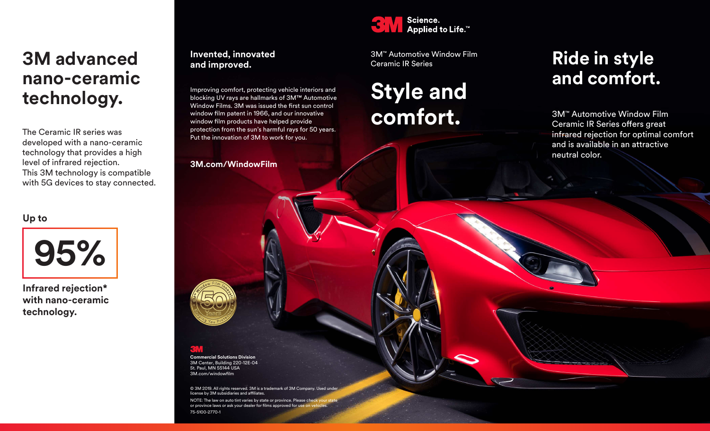## **3M advanced nano-ceramic technology.**

The Ceramic IR series was developed with a nano-ceramic technology that provides a high level of infrared rejection. This 3M technology is compatible with 5G devices to stay connected.

**Up to**



**Infrared rejection\* with nano-ceramic technology.**

#### **Invented, innovated and improved.**

Improving comfort, protecting vehicle interiors and blocking UV rays are hallmarks of 3M™ Automotive Window Films. 3M was issued the first sun control window film patent in 1966, and our innovative window film products have helped provide protection from the sun's harmful rays for 50 years. Put the innovation of 3M to work for you.

**3M.com/WindowFilm**



3M™ Automotive Window Film Ceramic IR Series

# **Style and comfort.**

## **Ride in style and comfort.**

3M™ Automotive Window Film Ceramic IR Series offers great infrared rejection for optimal comfort and is available in an attractive neutral color.

**Commercial Solutions Division** 3M Center, Building 220-12E-04 St. Paul, MN 55144 USA 3M.com/windowfilm

© 3M 2019. All rights reserved. 3M is a trademark of 3M Company. Used und license by 3M subsidiaries and affiliates. NOTE: The law on auto tint varies by state or province. Please che or province laws or ask your dealer for films approved for use or 75-5100-2770-1